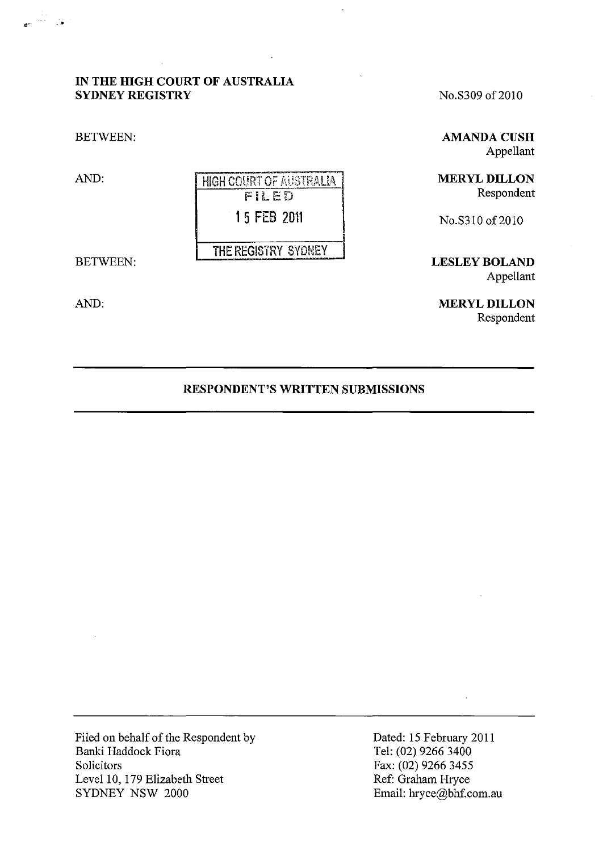# **IN THE HIGH COURT OF AUSTRALIA SYDNEY REGISTRY**

BETWEEN:

AND: FHIGH COURT OF AUSTRALIA  $FILED$ 1 5 FEB 2011 **THE REGISTRY SYDNEY** 

BETWEEN:

AND:

No.S309 of 2010

**AMANDA CUSH** Appellant

**MERYL DILLON**  Respondent

NO.S310 of 2010

**LESLEY BOLAND**  Appellant

**MERYL DILLON**  Respondent

## **RESPONDENT'S WRITTEN SUBMISSIONS**

Filed on behalf of the Respondent by Banki Haddock Fiora Solicitors Level 10, 179 Elizabeth Street SYDNEY NSW 2000

Dated: 15 February 2011 Tel: (02) 9266 3400 Fax: (02) 9266 3455 Ref: Graham Hryce Email: hryce@bhf.com.au

 $\frac{1}{2}$  ,  $\frac{1}{2}$  ,  $\frac{1}{2}$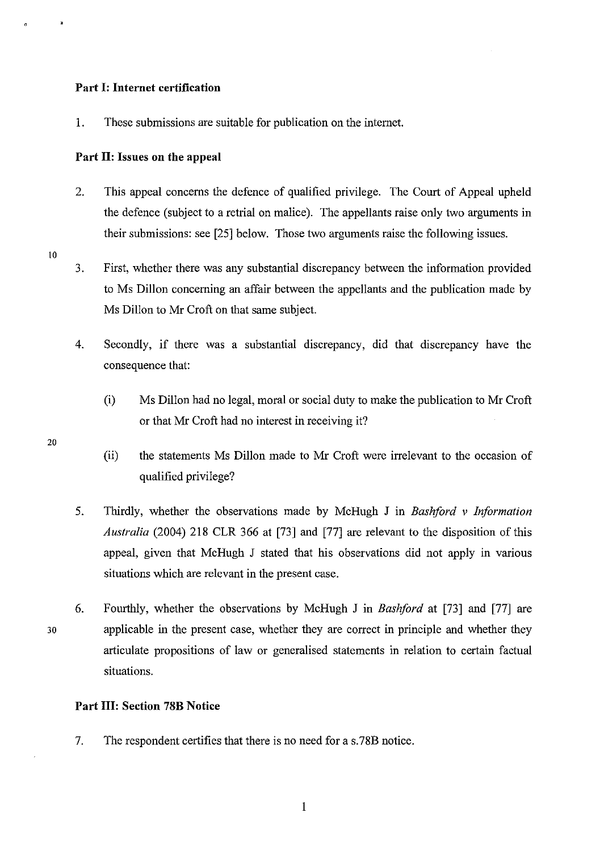### **Part I: Internet certification**

1. These submissions are suitable for publication on the internet.

#### **Part 11: Issues on the appeal**

- 2. This appeal concerns the defence of qualified privilege. The Court of Appeal upheld the defence (subject to a retrial on malice). The appellants raise only two arguments in their submissions: see [25] below. Those two arguments raise the following issues.
- 10
- 3. First, whether there was any substantial discrepancy between the information provided to Ms Dillon concerning an affair between the appellants and the publication made by Ms Dillon to Mr Croft on that same subject.
- 4. Secondly, if there was a substantial discrepancy, did that discrepancy have the consequence that:
	- (i) Ms Dillon had no legal, moral or social duty to make the publication to Mr Croft or that Mr Croft had no interest in receiving it?
	- (ii) the statements Ms Dillon made to Mr Croft were irrelevant to the occasion of qualified privilege?
- 5. Thirdly, whether the observations made by McHugh J in *Bashford* v *Information Australia* (2004) 218 CLR 366 at [73] and [77] are relevant to the disposition of this appeal, given that McHugh J stated that his observations did not apply in various situations which are relevant in the present case.
- 6. Fourthly, whether the observations by McHugh J in *Bashford* at [73] and [77] are applicable in the present case, whether they are correct in principle and whether they articulate propositions of law or generalised statements in relation to certain factual situations.

#### **Part Ill: Section 78B Notice**

7. The respondent certifies that there is no need for a s.78B notice.

20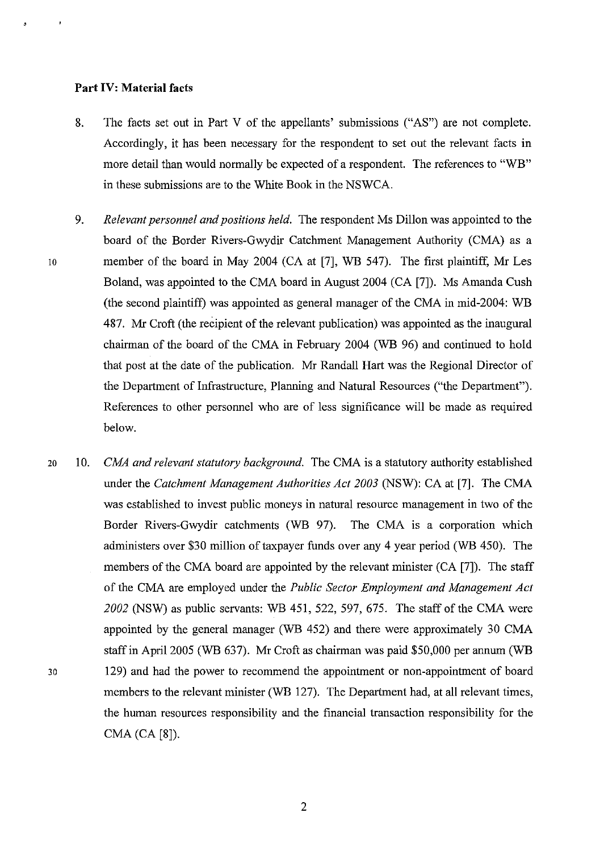### **Part IV: Material facts**

- 8. The facts set out in Part V of the appellants' submissions ("AS") are not complete. Accordingly, it has been necessary for the respondent to set out the relevant facts in more detail than would normally be expected of a respondent. The references to "WB" in these submissions are to the White Book in the NSWCA.
- *9. Relevant personnel and positions held.* The respondent Ms Dillon was appointed to the board of the Border Rivers-Gwydir Catchment Management Authority (CMA) as a 10 member of the board in May 2004 (CA at [7], WE 547). The first plaintiff, Mr Les Boland, was appointed to the CMA board in August 2004 (CA [7]). Ms Amanda Cush (the second plaintiff) was appointed as general manager of the CMA in mid-2004: WB 487. Mr Croft (the recipient of the relevant publication) was appointed as the inaugural chairman of the board of the CMA in February 2004 (WE 96) and continued to hold that post at the date of the publication. Mr Randall Hart was the Regional Director of the Department of Infrastructure, Planning and Natural Resources ("the Department"). References to other personnel who are of less significance will be made as required below.
- 20 10. *CMA and relevant statutory background.* The CMA is a statutory authority established under the *Catchment Management Authorities Act 2003* (NSW): CA at [7]. The CMA was established to invest public moneys in natural resource management in two of the Border Rivers-Gwydir catchments (WE 97). The CMA is a corporation which administers over \$30 million of taxpayer funds over any 4 year period (WE 450). The members of the CMA board are appointed by the relevant minister (CA [7]). The staff of the CMA are employed under the *Public Sector Employment and Management Act 2002* (NSW) as public servants: WB 451, 522, 597, 675. The staff of the CMA were appointed by the general manager (WE 452) and there were approximately 30 CMA staff in April 2005 (WE 637). Mr Croft as chairman was paid \$50,000 per annum (WE 30 129) and had the power to recommend the appointment or non-appointment of board members to the relevant minister (WB 127). The Department had, at all relevant times, the human resources responsibility and the financial transaction responsibility for the CMA (CA [8]).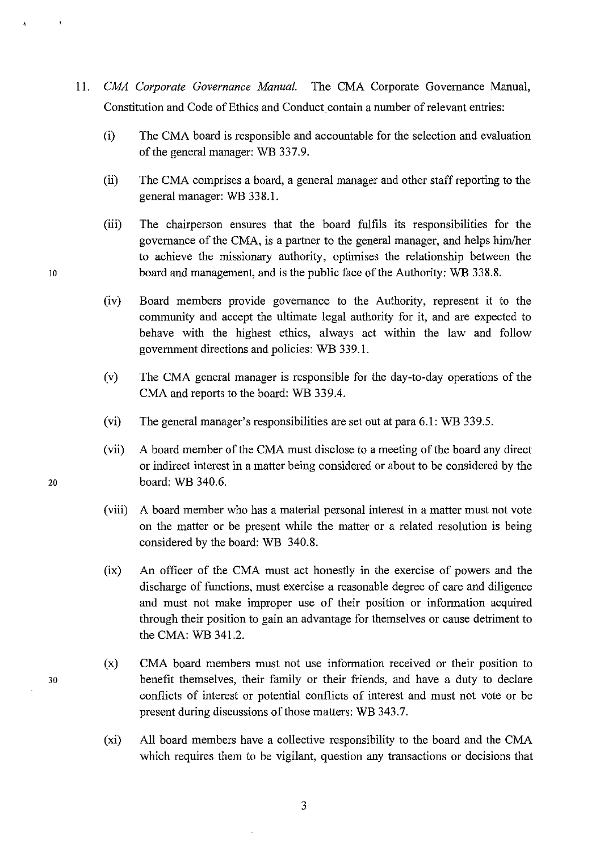- *11. CMA Corporate Governance Manual.* The CMA Corporate Governance Manual, Constitution and Code of Ethics and Conduct contain a number of relevant entries:
	- (i) The CMA board is responsible and accountable for the selection and evaluation of the general manager: WB 337.9.
	- (ii) The CMA comprises a board, a general manager and other staff reporting to the general manager: WB 338.1.
- (iii) The chairperson ensures that the board fulfils its responsibilities for the governance of the CMA, is a partuer to the general manager, and helps him/her to achieve the missionary authority, optimises the relationship between the 10 board and management, and is the public face of the Authority: WB 338.8.
	- (iv) Board members provide governance to the Authority, represent it to the community and accept the ultimate legal authority for it, and are expected to behave with the highest ethics, always act within the law and follow government directions and policies: WE 339.1.
	- (v) The CMA general manager is responsible for the day-to-day operations of the CMA and reports to the board: WB 339.4.
	- (vi) The general manager's responsibilities are set out at para 6.1: WB 339.5.
- (vii) A board member of the CMA must disclose to a meeting of the board any direct or indirect interest in a matter being considered or about to be considered by the 20 board: WB 340.6.
	- (viii) A board member who has a material personal interest in a matter must not vote on the matter or be present while the matter or a related resolution is being considered by the board: WB 340.8.
	- (ix) An officer of the CMA must act honestly in the exercise of powers and the discharge of functions, must exercise a reasonable degree of care and diligence and must not make improper use of their position or information acquired through their position to gain an advantage for themselves or cause detriment to the CMA: WB 341.2.
	- (x) CMA board members must not use information received or their position to benefit themselves, their family or their friends, and have a duty to declare conflicts of interest or potential conflicts of interest and must not vote or be present during discussions of those matters: WB 343.7.
	- (xi) All board members have a collective responsibility to the board and the CMA which requires them to be vigilant, question any transactions or decisions that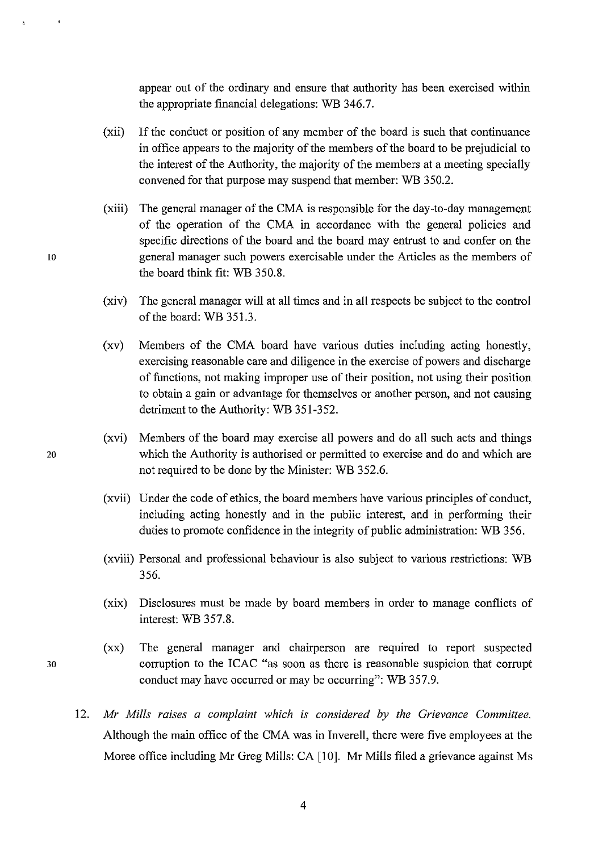appear out of the ordinary and ensure that authority has been exercised within the appropriate financial delegations: WE 346.7.

- (xii) If the conduct or position of any member of the board is such that continuance in office appears to the majority of the members of the board to be prejudicial to the interest of the Authority, the majority of the members at a meeting specially convened for that purpose may suspend that member: WE 350.2.
- (xiii) The general manager of the CMA is responsible for the day-to-day management of the operation of the CMA in accordance with the general policies and specific directions of the board and the board may entrust to and confer on the to general manager such powers exercisable under the Articles as the members of the board think fit: WB 350.8.
	- (xiv) The general manager will at all times and in all respects be subject to the control of the board: WB 351.3.
	- (xv) Members of the CMA board have various duties including acting honestly, exercising reasonable care and diligence in the exercise of powers and discharge of functions, not making improper use of their position, not using their position to obtain a gain or advantage for themselves or another person, and not causing detriment to the Authority: WB 351-352.
- (xvi) Members of the board may exercise all powers and do all such acts and things 20 which the Authority is authorised or permitted to exercise and do and which are not required to be done by the Minister: WB 352.6.
	- (xvii) Under the code of ethics, the board members have various principles of conduct, including acting honestly and in the public interest, and in performing their duties to promote confidence in the integrity of public administration: WB 356.
	- (xviii) Personal and professional behaviour is also subject to various restrictions: WE 356.
	- (xix) Disclosures must be made by board members in order to manage conflicts of interest: WE 357.8.
- (xx) The general manager and chairperson are required to report suspected 30 corruption to the ICAC "as soon as there is reasonable suspicion that corrupt conduct may have occurred or may be occurring": WE 357.9.
	- *12. Mr Mills raises a complaint which is considered by the Grievance Committee.*  Although the main office of the CMA was in Inverell, there were five employees at the Moree office including Mr Greg Mills: CA [10]. Mr Mills filed a grievance against Ms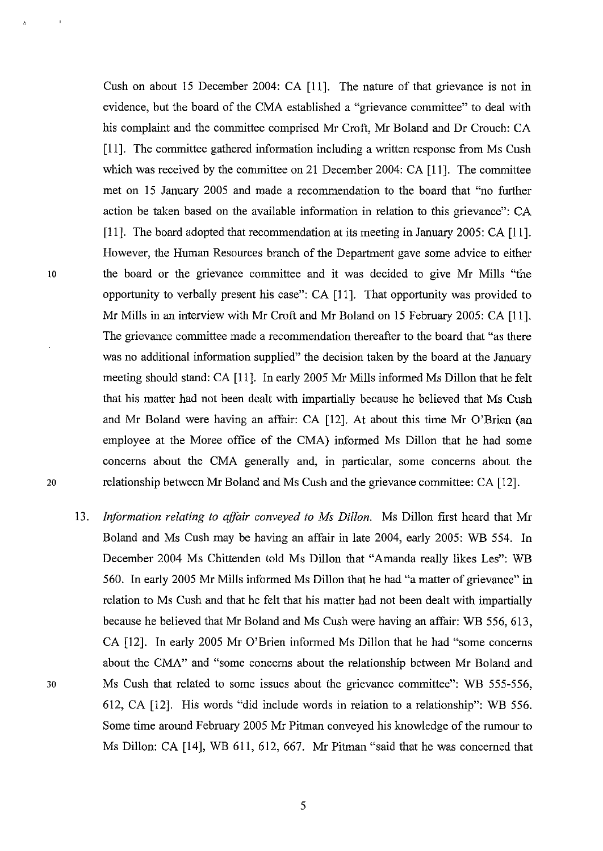Cush on about 15 December 2004: CA [11]. The nature of that grievance is not in evidence, but the board of the CMA established a "grievance committee" to deal with his complaint and the committee comprised Mr Croft, Mr Boland and Dr Crouch: CA [11]. The committee gathered information including a written response from Ms Cush which was received by the committee on 21 December 2004: CA [11]. The committee met on 15 January 2005 and made a recommendation to the board that "no further action be taken based on the available information in relation to this grievance": CA [11]. The board adopted that recommendation at its meeting in January 2005: CA [11]. However, the Human Resources branch of the Department gave some advice to either 10 the board or the grievance committee and it was decided to give Mr Mills "the opportunity to verbally present his case": CA [11]. That opportunity was provided to Mr Mills in an interview with Mr Croft and Mr Boland on 15 February 2005: CA [11]. The grievance committee made a recommendation thereafter to the board that "as there was no additional information supplied" the decision taken by the board at the January meeting should stand: CA [11]. In early 2005 Mr Mills informed Ms Dillon that he felt that his matter had not been dealt with impartially because he believed that Ms Cush and Mr Boland were having an affair: CA [12]. At about this time Mr O'Brien (an employee at the Moree office of the CMA) informed Ms Dillon that he had some concerns about the CMA generally and, in particular, some concerns about the 20 relationship between Mr Boland and Ms Cush and the grievance committee: CA [12].

*13. Information relating to affair conveyed to Ms Dillon.* Ms Dillon first heard that Mr Boland and Ms Cush may be having an affair in late 2004, early 2005: WE 554. In December 2004 Ms Chittenden told Ms Dillon that "Amanda really likes Les": WB 560. In early 2005 Mr Mills informed Ms Dillon that he had "a matter of grievance" in relation to Ms Cush and that he felt that his matter had not been dealt with impartially because he believed that Mr Boland and Ms Cush were having an affair: WB 556, 613, CA [12]. In early 2005 Mr O'Brien informed Ms Dillon that he had "some concerns about the CMA" and "some concerns about the relationship between Mr Boland and 30 Ms Cush that related to some issues about the grievance committee": WE 555-556, 612, CA [12]. His words "did include words in relation to a relationship": WB 556. Some time around February 2005 Mr Pitman conveyed his knowledge of the rumour to Ms Dillon: CA [14], WB 611, 612, 667. Mr Pitman "said that he was concerned that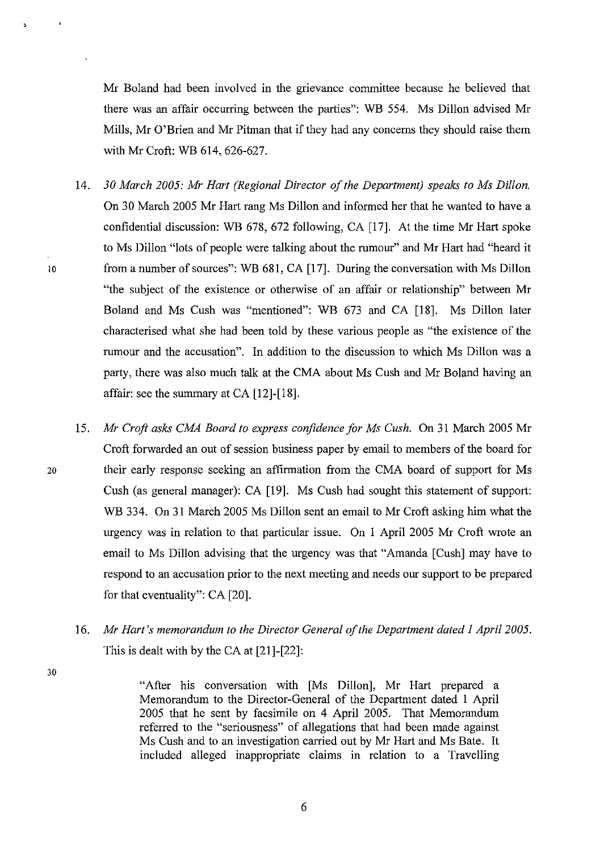Mr Boland had been involved in the grievance committee because he believed that there was an affair occurring between the parties": WB 554. Ms Dillon advised Mr Mills, Mr O'Brien and Mr Pitman that if they had any concerns they should raise them with Mr Croft: WB 614, 626-627.

- *14. 30 March 2005: Mr Hart (Regional Director of the Department) speaks to Ms Dillon.*  On 30 March 2005 Mr Hart rang Ms Dillon and informed her that he wanted to have a confidential discussion: WB 678, 672 following, CA [17]. At the time Mr Hart spoke to Ms Dillon "lots of people were talking about the rumour" and Mr Hart had "heard it 10 from a number of sources": WB 681, CA [17]. During the conversation with Ms Dillon "the subject of the existence or otherwise of an affair or relationship" between Mr Boland and Ms Cush was "mentioned": WB 673 and CA [18]. Ms Dillon later characterised what she had been told by these various people as "the existence of the rumour and the accusation". In addition to the discussion to which Ms Dillon was a party, there was also much talk at the CMA about Ms Cush and Mr Boland having an affair: see the summary at CA [12]-[18].
- *15. Mr Croft asks CMA Board to express confidence for Ms Cush.* On 31 March 2005 Mr Croft forwarded an out of session business paper by email to members of the board for 20 their early response seeking an affirmation from the CMA board of support for Ms Cush (as general manager): CA [19]. Ms Cush had sought this statement of support: WB 334. On 31 March 2005 Ms Dillon sent an email to Mr Croft asking him what the urgency was in relation to that particular issue. On I April 2005 Mr Croft wrote an email to Ms Dillon advising that the urgency was that "Amanda [Cush] may have to respond to an accusation prior to the next meeting and needs our support to be prepared for that eventuality": CA [20].
	- *16. Mr Hart's memorandum to the Director General of the Department dated 1 April 2005.*  This is dealt with by the CA at [21]-[22]:

30

"After his conversation with [Ms Dillon], Mr Hart prepared a Memorandum to the Director-General of the Department dated I April 2005 that he sent by facsimile on 4 April 2005. That Memorandum referred to the "seriousness" of allegations that had been made against Ms Cush and to an investigation carried out by Mr Hart and Ms Bate. It included alleged inappropriate claims in relation to a Travelling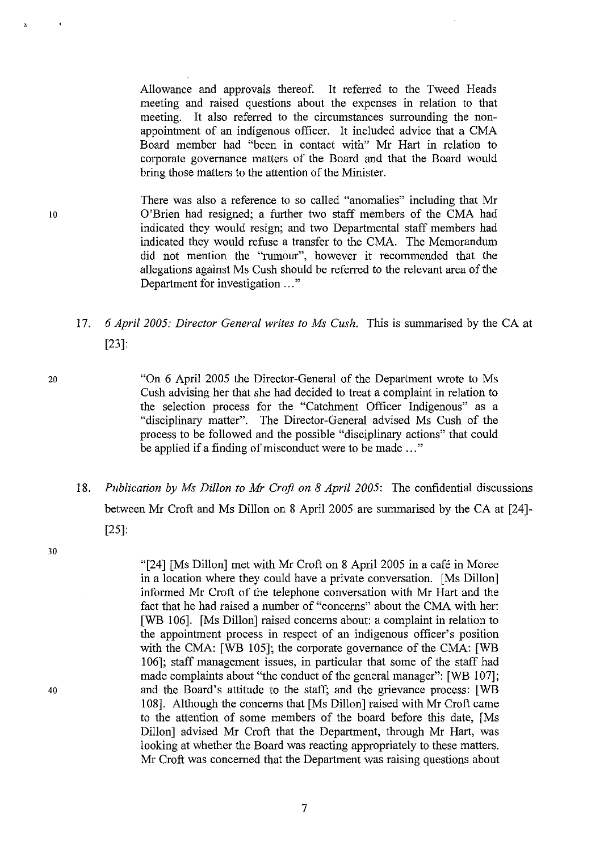Allowance and approvals thereof. It referred to the Tweed Heads meeting and raised questions about the expenses in relation to that meeting. It also referred to the circumstances surrounding the nonappointment of an indigenous officer. It included advice that a CMA Board member had "been in contact with" Mr Hart in relation to corporate governance matters of the Board and that the Board would bring those matters to the attention of the Minister.

There was also a reference to so called "anomalies" including that Mr 10 O'Brien had resigned; a further two staff members of the CMA had indicated they would resign; and two Departmental staff members had indicated they would refuse a transfer to the CMA. The Memorandum did not mention the "rumour", however it recommended that the allegations against Ms Cush should be referred to the relevant area of the Department for investigation ..."

# 17. 6 *April 2005: Director General writes to Ms Cush.* This is summarised by the CA at [23]:

20 "On 6 April 2005 the Director-General of the Department wrote to Ms Cush advising her that she had decided to treat a complaint in relation to the selection process for the "Catchment Officer Indigenous" as a "disciplinary matter". The Director-General advised Ms Cush of the process to be followed and the possible "disciplinary actions" that could be applied if a finding of misconduct were to be made ..."

*18. Publication by Ms Dillon to Mr Croft on* 8 *April 2005:* The confidential discussions between Mr Croft and Ms Dillon on 8 April 2005 are summarised by the CA at [24]- [25]:

> "[24] [Ms Dillon] met with Mr Croft on 8 April 2005 in a cafe in Moree in a location where they could have a private conversation. [Ms Dillon] informed Mr Croft of the telephone conversation with Mr Hart and the fact that he had raised a number of "concerns" about the CMA with her: [WB 106]. [Ms Dillon] raised concerns about: a complaint in relation to the appointment process in respect of an indigenous officer's position with the CMA: [WB 105]; the corporate governance of the CMA: [WB 106]; staff management issues, in particular that some of the staff had made complaints about "the conduct of the general manager": [WB 107]; and the Board's attitude to the staff; and the grievance process: [WB 108]. Although the concerns that [Ms Dillon] raised with Mr Croft came to the attention of some members of the board before this date, [Ms Dillon] advised Mr Croft that the Department, through Mr Hart, was looking at whether the Board was reacting appropriately to these matters. Mr Croft was concerned that the Department was raising questions about

30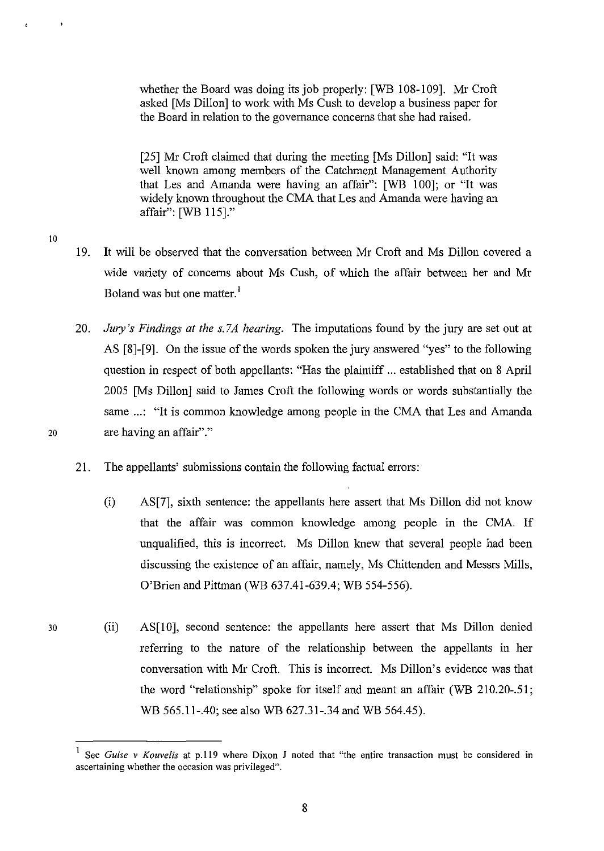whether the Board was doing its job properly: [WB 108-109]. Mr Croft asked [Ms Dillon] to work with Ms Cush to develop a business paper for the Board in relation to the governance concerns that she had raised.

[25] Mr Croft claimed that during the meeting [Ms Dillon] said: "It was well known among members of the Catchment Management Authority that Les and Amanda were having an affair": [WB 100]; or "It was widely known throughout the CMA that Les and Amanda were having an affair": [WB 115]."

- 19. It will be observed that the conversation between Mr Croft and Ms Dillon covered a wide variety of concerns about Ms Cush, of which the affair between her and Mr Boland was but one matter.<sup>1</sup>
- 20. *Jury's Findings at the s.7A hearing.* The imputations found by the jury are set out at AS [8]-[9]. On the issue of the words spoken the jury answered "yes" to the following question in respect of both appellants: "Has the plaintiff ... established that on 8 April 2005 [Ms Dillon] said to James Croft the following words or words substantially the same ...: "It is common knowledge among people in the CMA that Les and Amanda 20 are having an affair"."
	- 21. The appellants' submissions contain the following factual errors:
		- (i) AS[7], sixth sentence: the appellants here assert that Ms Dillon did not know that the affair was common knowledge among people in the CMA. If unqualified, this is incorrect. Ms Dillon knew that several people had been discussing the existence of an affair, namely, Ms Chittenden and Messrs Mills, O'Brien and Pittman (WB 637.41-639.4; WB 554-556).
	- (ii) AS[IO], second sentence: the appellants here assert that Ms Dillon denied referring to the nature of the relationship between the appellants in her conversation with Mr Croft. This is incorrect. Ms Dillon's evidence was that the word "relationship" spoke for itself and meant an affair (WB 210.20-.51; WB 565.11-.40; see also WB 627.31-.34 and WB 564.45).

10

**<sup>1</sup> See** *Guise* **v** *Kouvelis* **at p.119 where Dixon J noted that "the entire transaction must be considered in ascertaining whether the occasion was privileged".**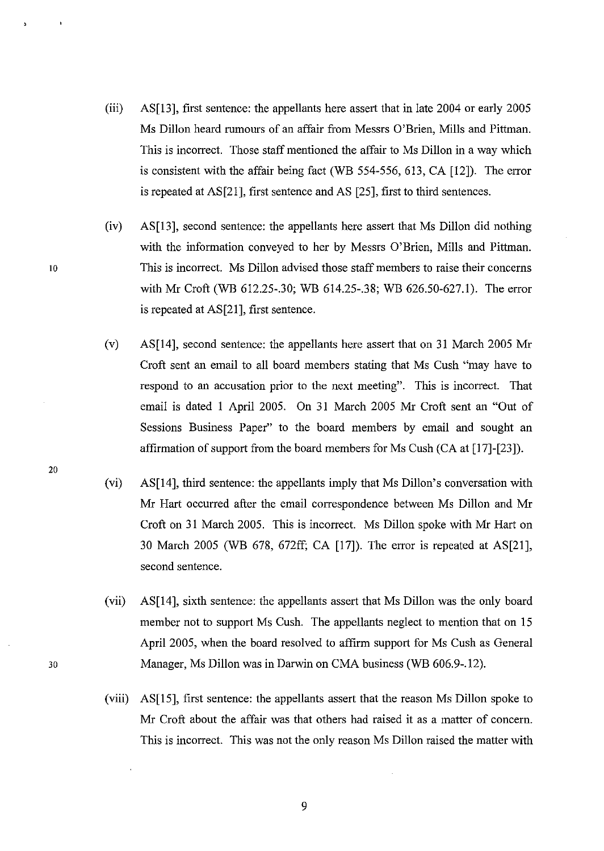- (iii) AS[13], first sentence: the appellants here assert that in late 2004 or early 2005 Ms Dillon heard rumours of an affair from Messrs O'Brien, Mills and Pittman. This is incorrect. Those staff mentioned the affair to Ms Dillon in a way which is consistent with the affair being fact (WB 554-556, 613, CA [12]). The error is repeated at AS[21], first sentence and AS [25], first to third sentences.
- (iv) AS[13], second sentence: the appellants here assert that Ms Dillon did nothing with the information conveyed to her by Messrs O'Brien, Mills and Pittman. This is incorrect. Ms Dillon advised those staff members to raise their concerns with Mr Croft (WE 612.25-.30; WB 614.25-.38; WB 626.50-627.1). The error is repeated at AS[21], first sentence.
- (v) AS[14], second sentence: the appellants here assert that on 31 March 2005 Mr Croft sent an email to all board members stating that Ms Cush "may have to respond to an accusation prior to the next meeting". This is incorrect. That email is dated 1 April 2005. On 31 March 2005 Mr Croft sent an "Out of Sessions Business Paper" to the board members by email and sought an affirmation of support from the board members for Ms Cush (CA at [17]-[23]).
- (vi) AS[14], third sentence: the appellants imply that Ms Dillon's conversation with Mr Hart occurred after the email correspondence between Ms Dillon and Mr Croft on 31 March 2005. This is incorrect. Ms Dillon spoke with Mr Hart on 30 March 2005 (WB 678, 672ff; CA [17]). The error is repeated at AS[21], second sentence.
- (vii) AS[14], sixth sentence: the appellants assert that Ms Dillon was the only board member not to support Ms Cush. The appellants neglect to mention that on 15 April 2005, when the board resolved to affirm support for Ms Cush as General Manager, Ms Dillon was in Darwin on CMA business (WE 606.9-.12).
- (viii) AS[15], first sentence: the appellants assert that the reason Ms Dillon spoke to Mr Croft about the affair was that others had raised it as a matter of concern. This is incorrect. This was not the only reason Ms Dillon raised the matter with

10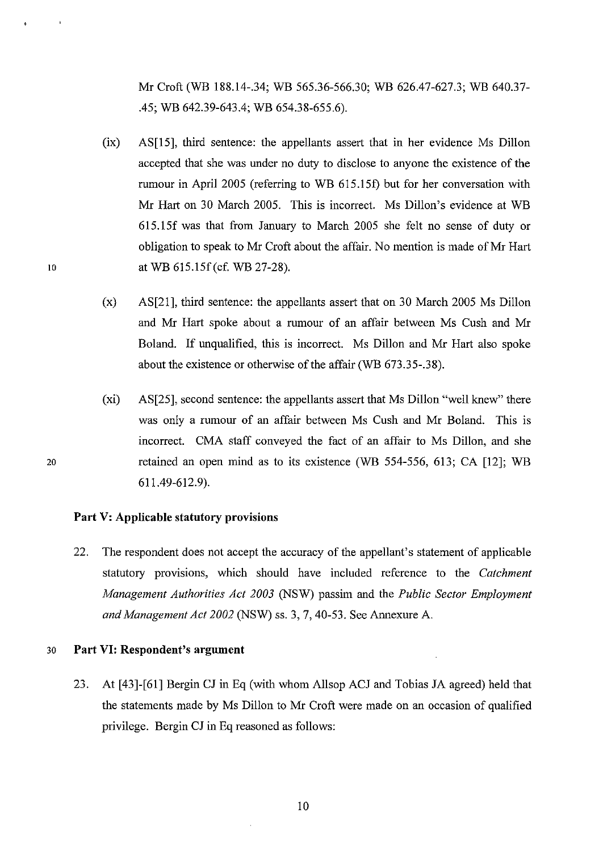Mr Croft (WB 188.14-.34; WB 565.36-566.30; WB 626.47-627.3; WB 640.37- .45; WB 642.39-643.4; WB 654.38-655.6).

- (ix) AS[15], third sentence: the appellants assert that in her evidence Ms Dillon accepted that she was under no duty to disclose to anyone the existence of the rumour in April 2005 (referring to WB 615.151) but for her conversation with Mr Hart on 30 March 2005. This is incorrect. Ms Dillon's evidence at WB 615.15f was that from January to March 2005 she felt no sense of duty or obligation to speak to Mr Croft about the affair. No mention is made of Mr Hart at WB 615.15f(cf. WB 27-28).
- (x) AS[21], third sentence: the appellants assert that on 30 March 2005 Ms Dillon and Mr Hart spoke about a rumour of an affair between Ms Cush and Mr Boland. If unqualified, this is incorrect. Ms Dillon and Mr Hart also spoke about the existence or otherwise of the affair (WB 673.35-.38).
- (xi) AS[25], second sentence: the appellants assert that Ms Dillon "well knew" there was only a rumour of an affair between Ms Cush and Mr Boland. This is incorrect. CMA staff conveyed the fact of an affair to Ms Dillon, and she retained an open mind as to its existence (WB 554-556, 613; CA [12]; WB 611.49-612.9).

#### **Part V: Applicable statutory provisions**

22. The respondent does not accept the accuracy of the appellant's statement of applicable statutory provisions, which should have included reference to the *Catchment Management Authorities Act 2003* (NSW) passim and the *Public Sector Employment and Management Act 2002* (NSW) ss. 3,7,40-53. See Annexure A.

#### 30 **Part VI: Respondent's argument**

10

20

23. At [43]-[61] Bergin CJ in Eq (with whom Allsop ACJ and Tobias JA agreed) held that the statements made by Ms Dillon to Mr Croft were made on an occasion of qualified privilege. Bergin CJ in Eq reasoned as follows: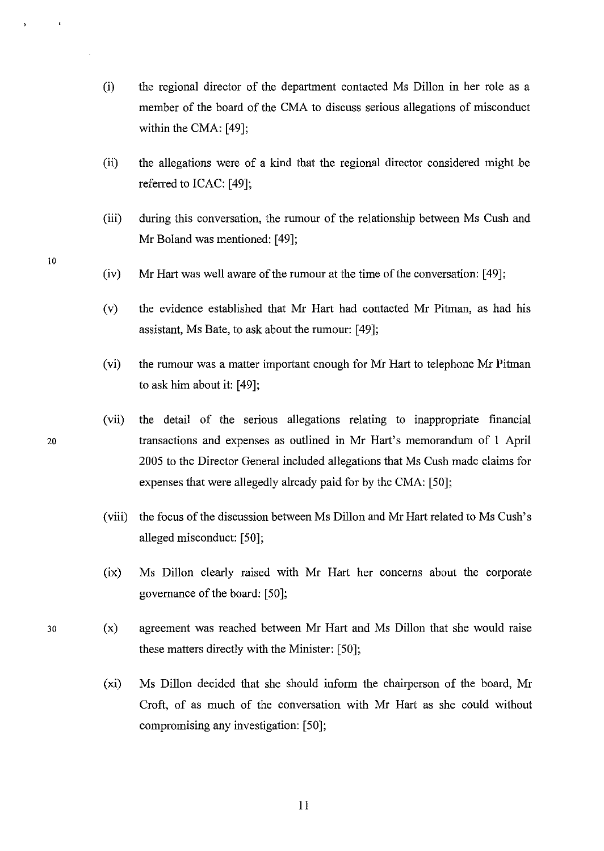- (i) the regional director of the department contacted Ms Dillon in her role as a member of the board of the CMA to discuss serious allegations of misconduct within the CMA: [49];
- (ii) the allegations were of a kind that the regional director considered might be referred to ICAC: [49];
- (iii) during this conversation, the rumour of the relationship between Ms Cush and Mr Boland was mentioned: [49];
- (iv) Mr Hart was well aware of the rumour at the time of the conversation: [49];
- (v) the evidence established that Mr Hart had contacted Mr Pitman, as had his assistant, Ms Bate, to ask about the rumour: [49];
- (vi) the rumour was a matter important enough for Mr Hart to telephone Mr Pitman to ask him about it: [49];
- (vii) the detail of the serious allegations relating to inappropriate financial 20 transactions and expenses as outlined in Mr Hart's memorandum of 1 April 2005 to the Director General included allegations that Ms Cush made claims for expenses that were allegedly already paid for by the CMA: [50];
	- (viii) the focus of the discussion between Ms Dillon and Mr Hart related to Ms Cush's alleged misconduct: [50];
	- (ix) Ms Dillon clearly raised with Mr Hart her concerns about the corporate governance of the board: [50];
	- (x) agreement was reached between Mr Hart and Ms Dillon that she would raise these matters directly with the Minister: [50];
		- (xi) Ms Dillon decided that she should inform the chairperson of the board, Mr Croft, of as much of the conversation with Mr Hart as she could without compromising any investigation: [50];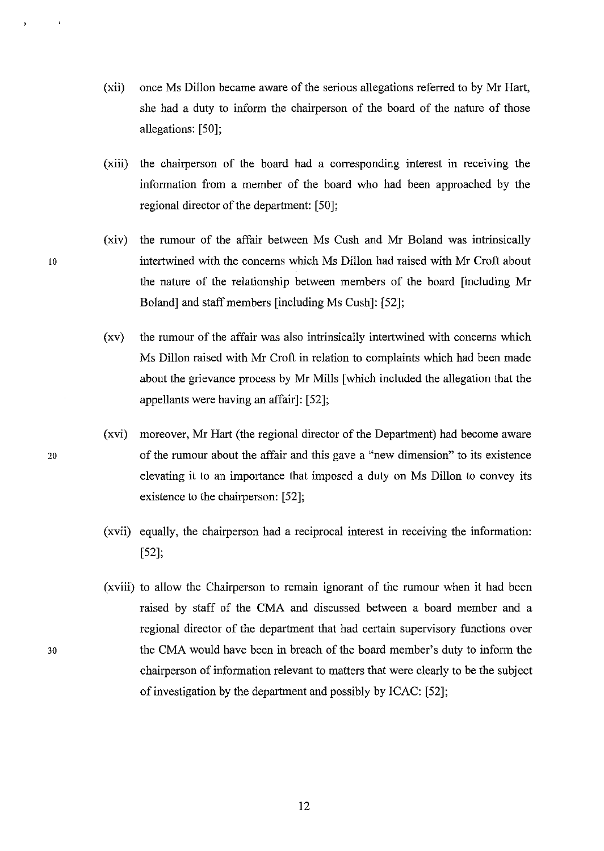- (xii) once Ms Dillon became aware of the serious allegations referred to by Mr Hart, she had a duty to inform the chairperson of the board of the nature of those allegations: [50];
- (xiii) the chairperson of the board had a corresponding interest in receiving the information from a member of the board who had been approached by the regional director of the department: [50];
- (xiv) the rumour of the affair between Ms Cush and Mr Boland was intrinsically to intertwined with the concerns which Ms Dillon had raised with Mr Croft about the nature of the relationship between members of the board [including Mr Boland] and staff members [including Ms Cush]: [52];
	- (xv) the rumour of the affair was also intrinsically intertwined with concerns which Ms Dillon raised with Mr Croft in relation to complaints which had been made about the grievance process by Mr Mills [which included the allegation that the appellants were having an affair]: [52];
- (xvi) moreover, Mr Hart (the regional director of the Department) had become aware 20 of the rumour about the affair and this gave a "new dimension" to its existence elevating it to an importance that imposed a duty on Ms Dillon to convey its existence to the chairperson: [52];
	- (xvii) equally, the chairperson had a reciprocal interest in receiving the information: [52];
	- (xviii) to allow the Chairperson to remain ignorant of the rumour when it had been raised by staff of the CMA and discussed between a board member and a regional director of the department that had certain supervisory functions over the CMA would have been in breach of the board member's duty to inform the chairperson of information relevant to matters that were clearly to be the subject of investigation by the department and possibly by ICAC: [52];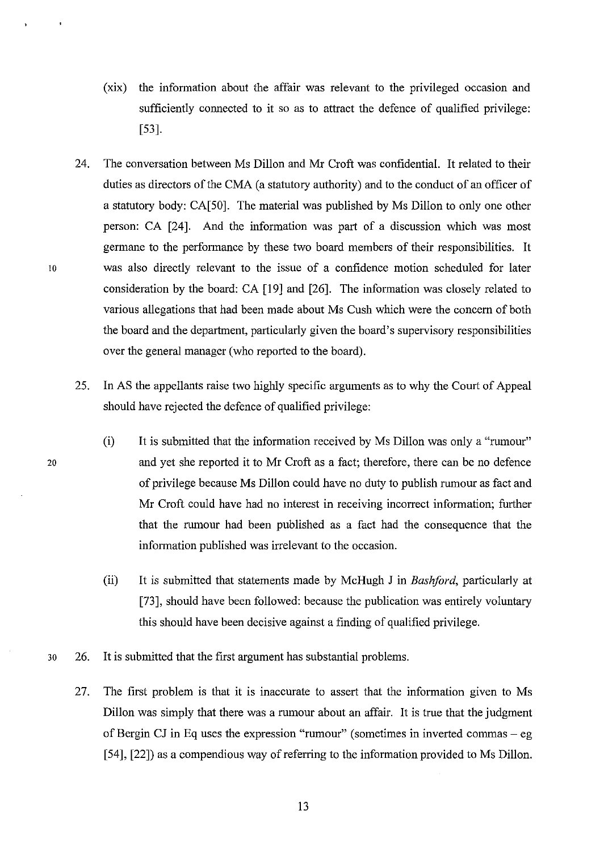- (xix) the infonnation about the affair was relevant to the privileged occasion and sufficiently connected to it so as to attract the defence of qualified privilege: [53].
- 24. The conversation between Ms Dillon and Mr Croft was confidential. It related to their duties as directors of the CMA (a statutory authority) and to the conduct of an officer of a statutory body: CA[50]. The material was published by Ms Dillon to only one other person: CA [24]. And the information was part of a discussion which was most germane to the perfonnance by these two board members of their responsibilities. It 10 was also directly relevant to the issue of a confidence motion scheduled for later consideration by the board: CA [19] and [26]. The information was closely related to various allegations that had been made about Ms Cush which were the concern of both the board and the department, particularly given the board's supervisory responsibilities over the general manager (who reported to the board).
	- 25. In AS the appellants raise two highly specific arguments as to why the Court of Appeal should have rejected the defence of qualified privilege:
		- (i) It is submitted that the information received by Ms Dillon was only a "rumour" and yet she reported it to Mr Croft as a fact; therefore, there can be no defence of privilege because Ms Dillon could have no duty to publish rumour as fact and Mr Croft could have had no interest in receiving incorrect information; further that the rumour had been published as a fact had the consequence that the information published was irrelevant to the occasion.
		- (ii) It is submitted that statements made by McHugh J in *Basliford,* particularly at [73], should have been followed: because the publication was entirely voluntary this should have been decisive against a finding of qualified privilege.
- 30 26. It is submitted that the first argument has substantial problems.
	- 27. The first problem is that it is inaccurate to assert that the information given to Ms Dillon was simply that there was a rumour about an affair. It is true that the judgment of Bergin CJ in Eq uses the expression "rumour" (sometimes in inverted commas  $-$  eg [54], [22]) as a compendious way of referring to the information provided to Ms Dillon.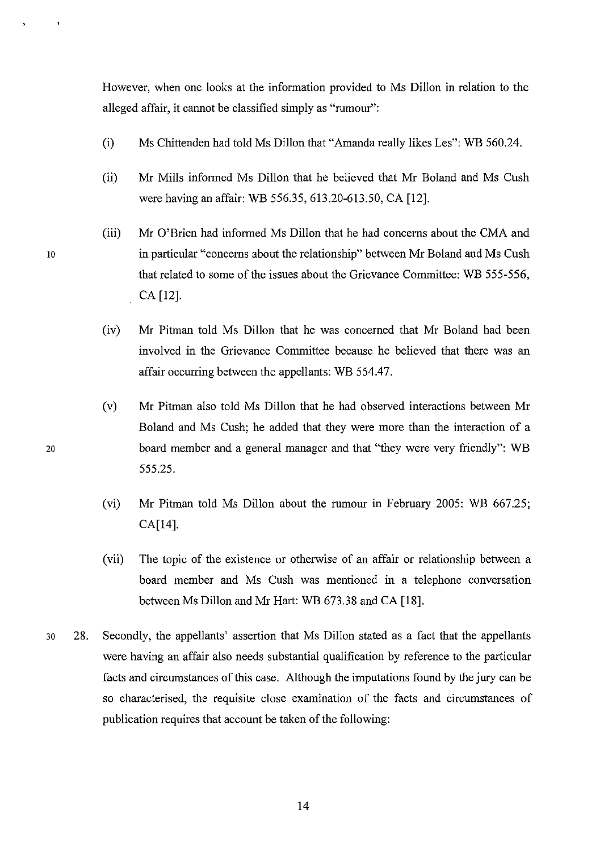However, when one looks at the information provided to Ms Dillon in relation to the alleged affair, it cannot be classified simply as "rumour":

- (i) Ms Chittenden had told Ms Dillon that "Amanda really likes Les": WB 560.24.
- (ii) Mr Mills informed Ms Dillon that he believed that Mr Boland and Ms Cush were having an affair: WB 556.35, 613.20-613.50, CA [12].
- (iii) Mr O'Brien had informed Ms Dillon that he had concerns about the CMA and 10 in particular "concerns about the relationship" between Mr Boland and Ms Cush that related to some of the issues about the Grievance Committee: WB 555-556, CA [12].
	- (iv) Mr Pitman told Ms Dillon that he was concerned that Mr Boland had been involved in the Grievance Committee because he believed that there was an affair occurring between the appellants: WB 554.47.
	- (v) Mr Pitman also told Ms Dillon that he had observed interactions between Mr Boland and Ms Cush; he added that they were more than the interaction of a board member and a general manager and that "they were very friendly": WB 555.25.
	- (vi) Mr Pitman told Ms Dillon about the rumour in February 2005: WB 667.25; CA[14].
	- (vii) The topic of the existence or otherwise of an affair or relationship between a board member and Ms Cush was mentioned in a telephone conversation between Ms Dillon and Mr Hart: WB 673.38 and CA [18].
- 30 28. Secondly, the appellants' assertion that Ms Dillon stated as a fact that the appellants were having an affair also needs substantial qualification by reference to the particular facts and circumstances of this case. Although the imputations found by the jury can be so characterised, the requisite close examination of the facts and circumstances of publication requires that account be taken of the following: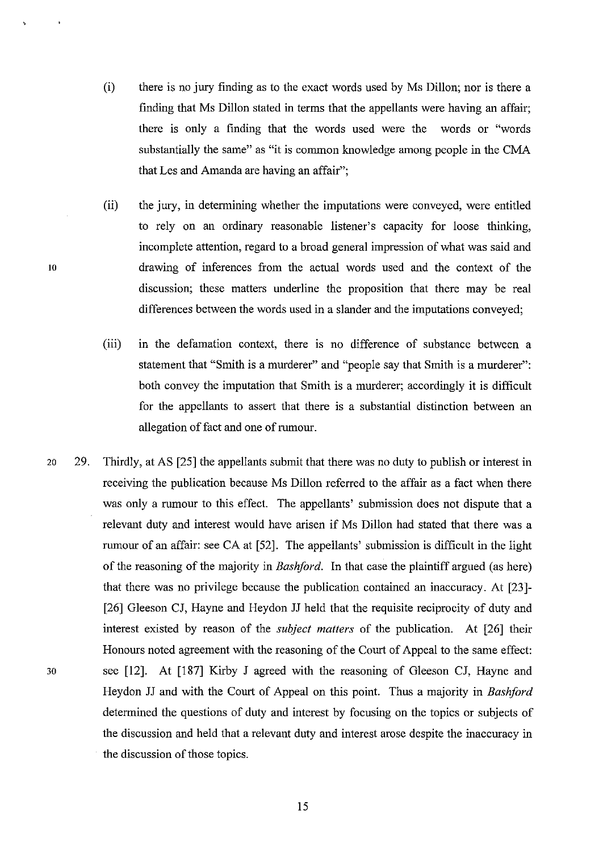(i) there is no jury finding as to the exact words used by Ms Dillon; nor is there a finding that Ms Dillon stated in terms that the appellants were having an affair; there is only a finding that the words used were the words or "words substantially the same" as "it is common knowledge among people in the CMA that Les and Amanda are having an affair";

(ii) the jury, in determining whether the imputations were conveyed, were entitled to rely on an ordinary reasonable listener's capacity for loose thinking, incomplete attention, regard to a broad general impression of what was said and drawing of inferences from the actual words used and the context of the discussion; these matters underline the proposition that there may be real differences between the words used in a slander and the imputations conveyed;

- (iii) in the defamation context, there is no difference of substance between a statement that "Smith is a murderer" and "people say that Smith is a murderer": both convey the imputation that Smith is a murderer; accordingly it is difficult for the appellants to assert that there is a substantial distinction between an allegation of fact and one of rumour.
- 20 29. Thirdly, at AS [25] the appellants submit that there was no duty to publish or interest in receiving the publication because Ms Dillon referred to the affair as a fact when there was only a rumour to this effect. The appellants' submission does not dispute that a relevant duty and interest would have arisen if Ms Dillon had stated that there was a rumour of an affair: see CA at [52]. The appellants' submission is difficult in the light of the reasoning of the majority in *Bashford.* In that case the plaintiff argued (as here) that there was no privilege because the publication contained an inaccuracy. At [23]- [26] Gleeson CJ, Hayne and Heydon JJ held that the requisite reciprocity of duty and interest existed by reason of the *subject matters* of the publication. At [26] their Honours noted agreement with the reasoning of the Court of Appeal to the same effect: 30 see [12]. At [187] Kirby J agreed with the reasoning of Gleeson CJ, Hayne and Heydon JJ and with the Court of Appeal on this point. Thus a majority in *Bashford*  determined the questions of duty and interest by focusing on the topics or subjects of the discussion and held that a relevant duty and interest arose despite the inaccuracy in the discussion of those topics.

10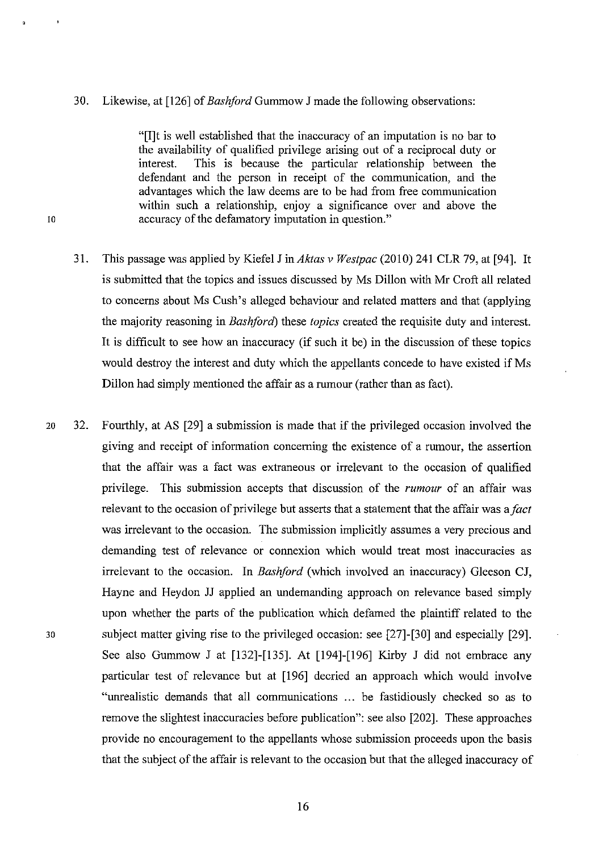#### 30. Likewise, at [126] of *Bashford* Gummow J made the following observations:

"[I]t is well established that the inaccuracy of an imputation is no bar to the availability of qualified privilege arising out of a reciprocal duty or interest. This is because the particular relationship between the defendant and the person in receipt of the communication, and the advantages which the law deems are to be had from free communication within such a relationship, enjoy a significance over and above the 10 accuracy ofthe defamatory imputation in question."

- 31. This passage was applied by Kiefel J in *Aktas* v *Westpac* (2010) 241 CLR 79, at [94]. It is submitted that the topics and issues discussed by Ms Dillon with Mr Croft all related to concerns about Ms Cush's alleged behaviour and related matters and that (applying the majority reasoning in *Bashford*) these *topics* created the requisite duty and interest. It is difficult to see how an inaccuracy (if such it be) in the discussion of these topics would destroy the interest and duty which the appellants concede to have existed if Ms Dillon had simply mentioned the affair as a rumour (rather than as fact).
- 20 32. Fourthly, at AS [29] a submission is made that if the privileged occasion involved the giving and receipt of information concerning the existence of a rumour, the assertion that the affair was a fact was extraneous or irrelevant to the occasion of qualified privilege. This submission accepts that discussion of the *rumour* of an affair was relevant to the occasion of privilege but asserts that a statement that the affair was a *fact*  was irrelevant to the occasion. The submission implicitly assumes a very precious and demanding test of relevance or connexion which would treat most inaccuracies as irrelevant to the occasion. In *Bashford* (which involved an inaccuracy) Gleeson CJ, Hayne and Heydon JJ applied an undemanding approach on relevance based simply upon whether the parts of the publication which defamed the plaintiff related to the 30 subject matter giving rise to the privileged occasion: see [27]-[30] and especially [29]. See also Gummow J at [132]-[135]. At [194]-[196] Kirby J did not embrace any particular test of relevance but at [196] decried an approach which would involve "unrealistic demands that all communications ... be fastidiously checked so as to remove the slightest inaccuracies before publication": see also [202]. These approaches provide no encouragement to the appellants whose submission proceeds upon the basis that the subject of the affair is relevant to the occasion but that the alleged inaccuracy of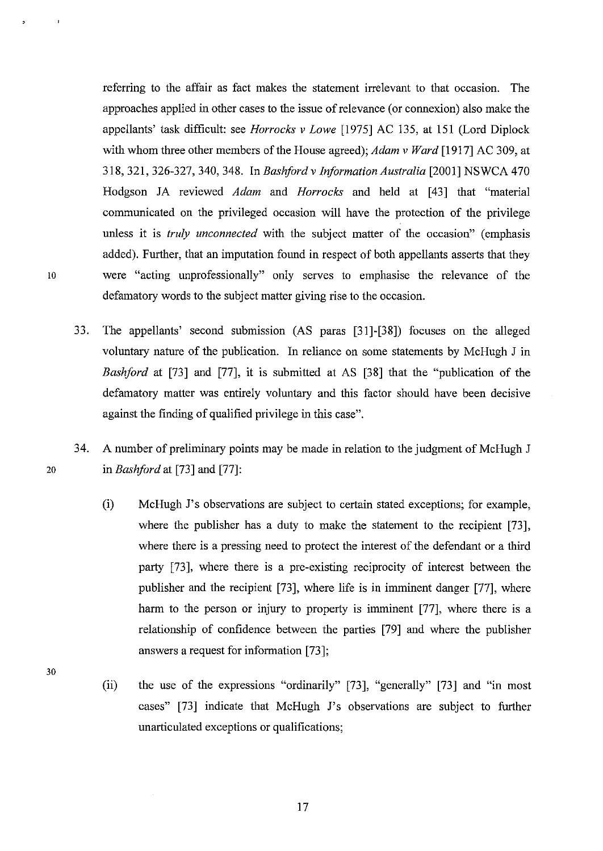referring to the affair as fact makes the statement irrelevant to that occasion. The approaches applied in other cases to the issue of relevance (or connexion) also make the appellants' task difficult: see *Horrocks* v *Lowe* [1975] AC 135, at 151 (Lord Diplock with whom three other members of the House agreed); *Adam v Ward* [1917] AC 309, at 318,321,326-327, 340, 348. In *Bashford* v *lriformation Australia* [2001] NSWCA 470 Hodgson JA reviewed *Adam* and *Horrocks* and held at [43] that "material communicated on the privileged occasion will have the protection of the privilege unless it is *truly unconnected* with the subject matter of the occasion" (emphasis added). Further, that an imputation found in respect of both appellants asserts that they 10 were "acting unprofessionally" only serves to emphasise the relevance of the defamatory words to the subject matter giving rise to the occasion.

- 33. The appellants' second submission (AS paras [31]-[38]) focuses on the alleged voluntary nature of the publication. In reliance on some statements by McHugh J in *Bashford* at [73] and [77], it is submitted at AS [38] that the "publication of the defamatory matter was entirely voluntary and this factor should have been decisive against the finding of qualified privilege in this case".
- 34. A number of preliminary points may be made in relation to the judgment of McHugh J 20 in *Bashford* at [73] and [77]:
	- (i) McHugh J's observations are subject to certain stated exceptions; for example, where the publisher has a duty to make the statement to the recipient [73], where there is a pressing need to protect the interest of the defendant or a third party [73], where there is a pre-existing reciprocity of interest between the publisher and the recipient [73], where life is in imminent danger [77], where harm to the person or injury to property is imminent [77], where there is a relationship of confidence between the parties [79] and where the publisher answers a request for information [73];
	- (ii) the use of the expressions "ordinarily" [73], "generally" [73] and "in most cases" [73] indicate that McHugh J's observations are subject to further unarticulated exceptions or qualifications;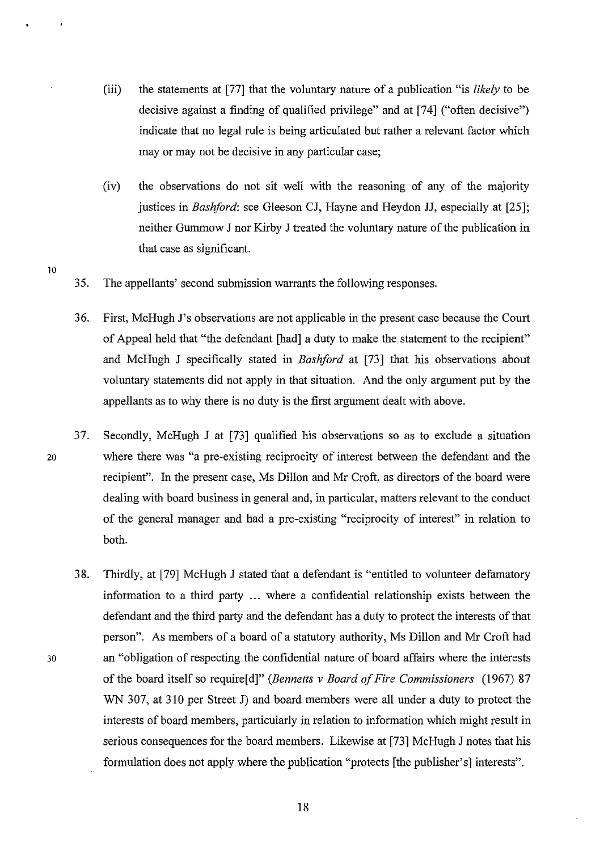- (iii) the statements at [77] that the voluntary nature of a publication "is *likely* to be decisive against a finding of qualified privilege" and at [74] ("often decisive") indicate that no legal rule is being articulated but rather a relevant factor which mayor may not be decisive in any particular case;
- (iv) the observations do not sit well with the reasoning of any of the majority justices in *Bashford:* see Gleeson CJ, Hayne and Heydon JJ, especially at [25]; neither Gummow J nor Kirby J treated the voluntary nature of the publication in that case as significant.
- 35. The appellants' second submission warrants the following responses.
- 36. First, McHugh J's observations are not applicable in the present case because the Court of Appeal held that "the defendant [had] a duty to make the statement to the recipient" and McHugh J specifically stated in *Bashford* at [73] that his observations about voluntary statements did not apply in that situation. And the only argument put by the appellants as to why there is no duty is the first argument dealt with above.
- 37. Secondly, McHugh J at [73] qualified his observations so as to exclude a situation 20 where there was "a pre-existing reciprocity of interest between the defendant and the recipient". In the present case, Ms Dillon and Mr Croft, as directors of the board were dealing with board business in general and, in particular, matters relevant to the conduct of the general manager and had a pre-existing "reciprocity of interest" in relation to both.
- 38. Thirdly, at [79] McHugh J stated that a defendant is "entitled to volunteer defamatory information to a third party ... where a confidential relationship exists between the defendant and the third party and the defendant has a duty to protect the interests of that person". As members of a board of a statutory authority, Ms Dillon and Mr Croft had 30 an "obligation of respecting the confidential nature of board affairs where the interests of the board itself so require[ d]" *(Bennetts* v *Board of Fire Commissioners* (1967) 87 WN 307, at 310 per Street J) and board members were all under a duty to protect the interests of board members, particularly in relation to information which might result in serious consequences for the board members. Likewise at [73] McHugh J notes that his formulation does not apply where the publication "protects [the publisher's] interests".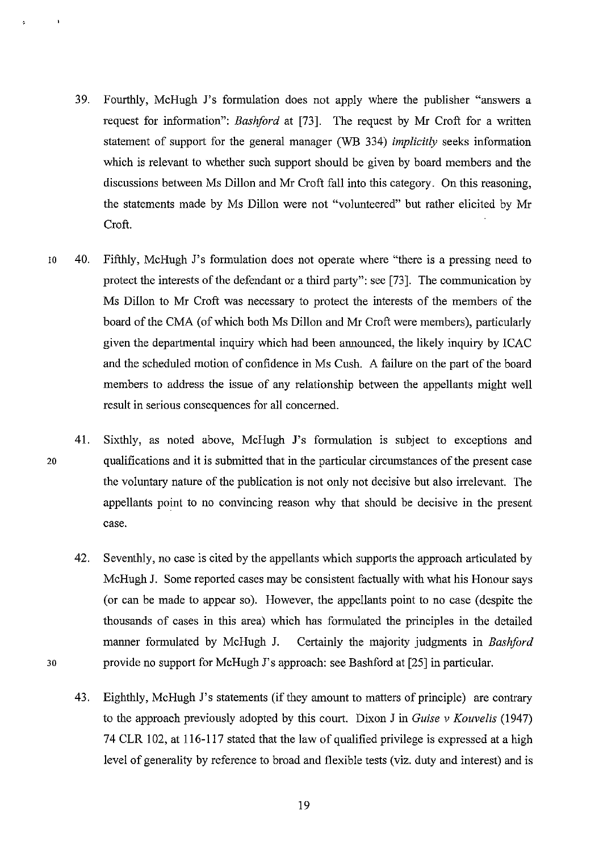- 39. Fourthly, McHugh J's formulation does not apply where the publisher "answers a request for information": *Bashford* at [73]. The request by Mr Croft for a written statement of support for the general manager (WB 334) *implicitly* seeks information which is relevant to whether such support should be given by board members and the discussions between Ms Dillon and Mr Croft fall into this category. On this reasoning, the statements made by Ms Dillon were not "volunteered" but rather elicited by Mr Croft.
- 10 40. Fifthly, McHugh J's formulation does not operate where "there is a pressing need to protect the interests of the defendant or a third party": see [73]. The communication by Ms Dillon to Mr Croft was necessary to protect the interests of the members of the board of the CMA (of which both Ms Dillon and Mr Croft were members), particularly given the departmental inquiry which had been announced, the likely inquiry by ICAC and the scheduled motion of confidence in Ms Cush. A failure on the part of the board members to address the issue of any relationship between the appellants might well result in serious consequences for all concerned.
- 41. Sixthly, as noted above, McHugh J's formulation is subject to exceptions and 20 qualifications and it is submitted that in the particular circumstances of the present case the voluntary nature of the publication is not only not decisive but also irrelevant. The appellants point to no convincing reason why that should be decisive in the present case.
- 42. Seventhly, no case is cited by the appellants which supports the approach articulated by McHugh J. Some reported cases may be consistent factually with what his Honour says (or can be made to appear so). However, the appellants point to no case (despite the thousands of cases in this area) which has formulated the principles in the detailed manner formulated by McHugh J. Certainly the majority judgments in *Bashford*  30 provide no support for McHugh J's approach: see Bashford at [25] in particular.
	- 43. Eighthly, McHugh J's statements (if they amount to matters of principle) are contrary to the approach previously adopted by this court. Dixon J in *Guise* v *Kouvelis (1947)*  74 CLR 102, at 116-117 stated that the law of qualified privilege is expressed at a high level of generality by reference to broad and flexible tests (viz. duty and interest) and is